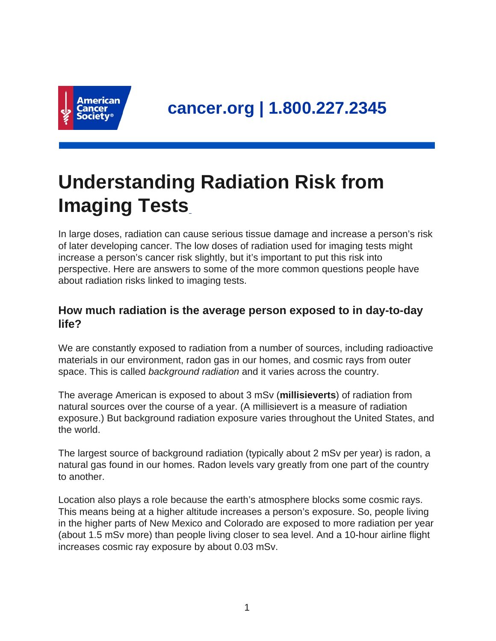

# **Understanding Radiation Risk from Imaging Tests**

In large doses, radiation can cause serious tissue damage and increase a person's risk of later developing cancer. The low doses of radiation used for imaging tests might increase a person's cancer risk slightly, but it's important to put this risk into perspective. Here are answers to some of the more common questions people have about radiation risks linked to imaging tests.

## **How much radiation is the average person exposed to in day-to-day life?**

We are constantly exposed to radiation from a number of sources, including radioactive materials in our environment, radon gas in our homes, and cosmic rays from outer space. This is called *background radiation* and it varies across the country.

The average American is exposed to about 3 mSv (**millisieverts**) of radiation from natural sources over the course of a year. (A millisievert is a measure of radiation exposure.) But background radiation exposure varies throughout the United States, and the world.

The largest source of background radiation (typically about 2 mSv per year) is radon, a natural gas found in our homes. Radon levels vary greatly from one part of the country to another.

Location also plays a role because the earth's atmosphere blocks some cosmic rays. This means being at a higher altitude increases a person's exposure. So, people living in the higher parts of New Mexico and Colorado are exposed to more radiation per year (about 1.5 mSv more) than people living closer to sea level. And a 10-hour airline flight increases cosmic ray exposure by about 0.03 mSv.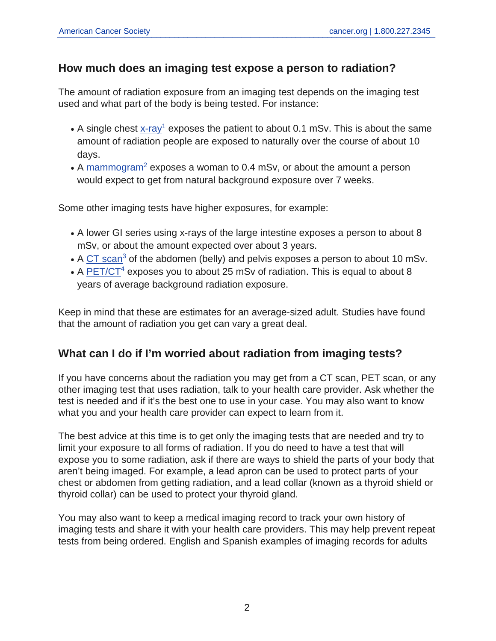### **How much does an imaging test expose a person to radiation?**

The amount of radiation exposure from an imaging test depends on the imaging test used and what part of the body is being tested. For instance:

- A single chest  $x$ -ray<sup>1</sup> exposes the patient to about 0.1 mSv. This is about the same amount of radiation people are exposed to naturally over the course of about 10 days.
- A [mammogram](https://www.cancer.org/cancer/breast-cancer/screening-tests-and-early-detection/mammograms/mammogram-basics.html)<sup>2</sup> exposes a woman to 0.4 mSv, or about the amount a person would expect to get from natural background exposure over 7 weeks.

Some other imaging tests have higher exposures, for example:

- A lower GI series using x-rays of the large intestine exposes a person to about 8 mSv, or about the amount expected over about 3 years.
- A  $CT$  scan<sup>3</sup> of the abdomen (belly) and pelvis exposes a person to about 10 mSv.
- A **[PET/CT](https://www.cancer.org/treatment/understanding-your-diagnosis/tests/nuclear-medicine-scans-for-cancer.html)<sup>4</sup>** exposes you to about 25 mSv of radiation. This is equal to about 8 years of average background radiation exposure.

Keep in mind that these are estimates for an average-sized adult. Studies have found that the amount of radiation you get can vary a great deal.

## **What can I do if I'm worried about radiation from imaging tests?**

If you have concerns about the radiation you may get from a CT scan, PET scan, or any other imaging test that uses radiation, talk to your health care provider. Ask whether the test is needed and if it's the best one to use in your case. You may also want to know what you and your health care provider can expect to learn from it.

The best advice at this time is to get only the imaging tests that are needed and try to limit your exposure to all forms of radiation. If you do need to have a test that will expose you to some radiation, ask if there are ways to shield the parts of your body that aren't being imaged. For example, a lead apron can be used to protect parts of your chest or abdomen from getting radiation, and a lead collar (known as a thyroid shield or thyroid collar) can be used to protect your thyroid gland.

You may also want to keep a medical imaging record to track your own history of imaging tests and share it with your health care providers. This may help prevent repeat tests from being ordered. English and Spanish examples of imaging records for adults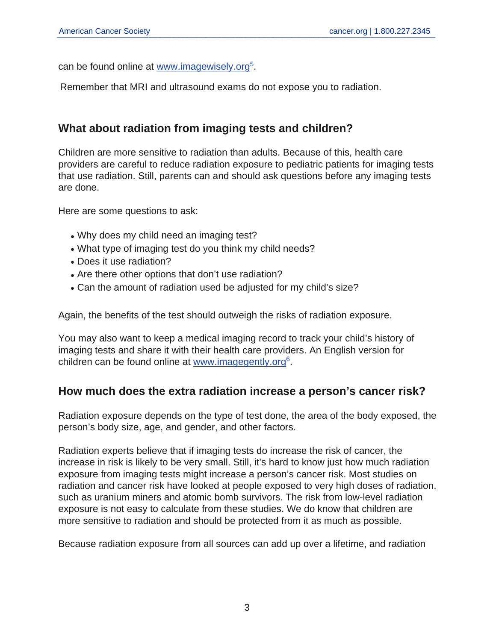can be found online at [www.imagewisely.org](http://www.imagewisely.org/)<sup>5</sup>.

Remember that MRI and ultrasound exams do not expose you to radiation.

### **What about radiation from imaging tests and children?**

Children are more sensitive to radiation than adults. Because of this, health care providers are careful to reduce radiation exposure to pediatric patients for imaging tests that use radiation. Still, parents can and should ask questions before any imaging tests are done.

Here are some questions to ask:

- Why does my child need an imaging test?
- What type of imaging test do you think my child needs?
- Does it use radiation?
- Are there other options that don't use radiation?
- Can the amount of radiation used be adjusted for my child's size?

Again, the benefits of the test should outweigh the risks of radiation exposure.

You may also want to keep a medical imaging record to track your child's history of imaging tests and share it with their health care providers. An English version for children can be found online at [www.imagegently.org](http://www.imagegently.org/)<sup>6</sup>.

#### **How much does the extra radiation increase a person's cancer risk?**

Radiation exposure depends on the type of test done, the area of the body exposed, the person's body size, age, and gender, and other factors.

Radiation experts believe that if imaging tests do increase the risk of cancer, the increase in risk is likely to be very small. Still, it's hard to know just how much radiation exposure from imaging tests might increase a person's cancer risk. Most studies on radiation and cancer risk have looked at people exposed to very high doses of radiation, such as uranium miners and atomic bomb survivors. The risk from low-level radiation exposure is not easy to calculate from these studies. We do know that children are more sensitive to radiation and should be protected from it as much as possible.

Because radiation exposure from all sources can add up over a lifetime, and radiation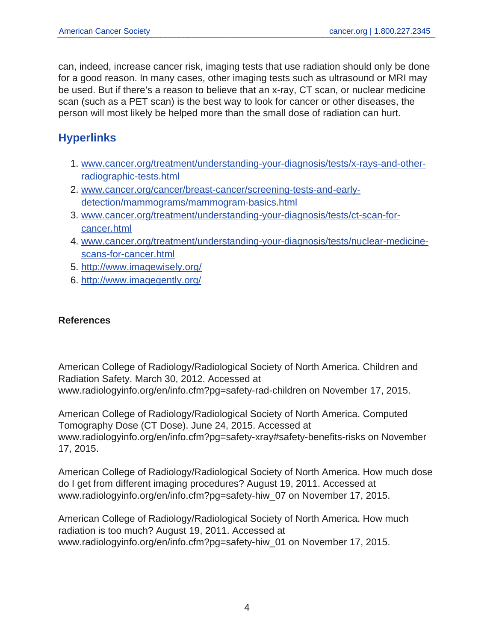can, indeed, increase cancer risk, imaging tests that use radiation should only be done for a good reason. In many cases, other imaging tests such as ultrasound or MRI may be used. But if there's a reason to believe that an x-ray, CT scan, or nuclear medicine scan (such as a PET scan) is the best way to look for cancer or other diseases, the person will most likely be helped more than the small dose of radiation can hurt.

# **Hyperlinks**

- 1. [www.cancer.org/treatment/understanding-your-diagnosis/tests/x-rays-and-other](https://www.cancer.org/treatment/understanding-your-diagnosis/tests/x-rays-and-other-radiographic-tests.html)[radiographic-tests.html](https://www.cancer.org/treatment/understanding-your-diagnosis/tests/x-rays-and-other-radiographic-tests.html)
- 2. [www.cancer.org/cancer/breast-cancer/screening-tests-and-early](https://www.cancer.org/cancer/breast-cancer/screening-tests-and-early-detection/mammograms/mammogram-basics.html)[detection/mammograms/mammogram-basics.html](https://www.cancer.org/cancer/breast-cancer/screening-tests-and-early-detection/mammograms/mammogram-basics.html)
- 3. [www.cancer.org/treatment/understanding-your-diagnosis/tests/ct-scan-for](https://www.cancer.org/treatment/understanding-your-diagnosis/tests/ct-scan-for-cancer.html)[cancer.html](https://www.cancer.org/treatment/understanding-your-diagnosis/tests/ct-scan-for-cancer.html)
- 4. [www.cancer.org/treatment/understanding-your-diagnosis/tests/nuclear-medicine](https://www.cancer.org/treatment/understanding-your-diagnosis/tests/nuclear-medicine-scans-for-cancer.html)[scans-for-cancer.html](https://www.cancer.org/treatment/understanding-your-diagnosis/tests/nuclear-medicine-scans-for-cancer.html)
- 5. <http://www.imagewisely.org/>
- 6. <http://www.imagegently.org/>

#### **References**

American College of Radiology/Radiological Society of North America. Children and Radiation Safety. March 30, 2012. Accessed at www.radiologyinfo.org/en/info.cfm?pg=safety-rad-children on November 17, 2015.

American College of Radiology/Radiological Society of North America. Computed Tomography Dose (CT Dose). June 24, 2015. Accessed at www.radiologyinfo.org/en/info.cfm?pg=safety-xray#safety-benefits-risks on November 17, 2015.

American College of Radiology/Radiological Society of North America. How much dose do I get from different imaging procedures? August 19, 2011. Accessed at www.radiologyinfo.org/en/info.cfm?pg=safety-hiw\_07 on November 17, 2015.

American College of Radiology/Radiological Society of North America. How much radiation is too much? August 19, 2011. Accessed at www.radiologyinfo.org/en/info.cfm?pg=safety-hiw\_01 on November 17, 2015.